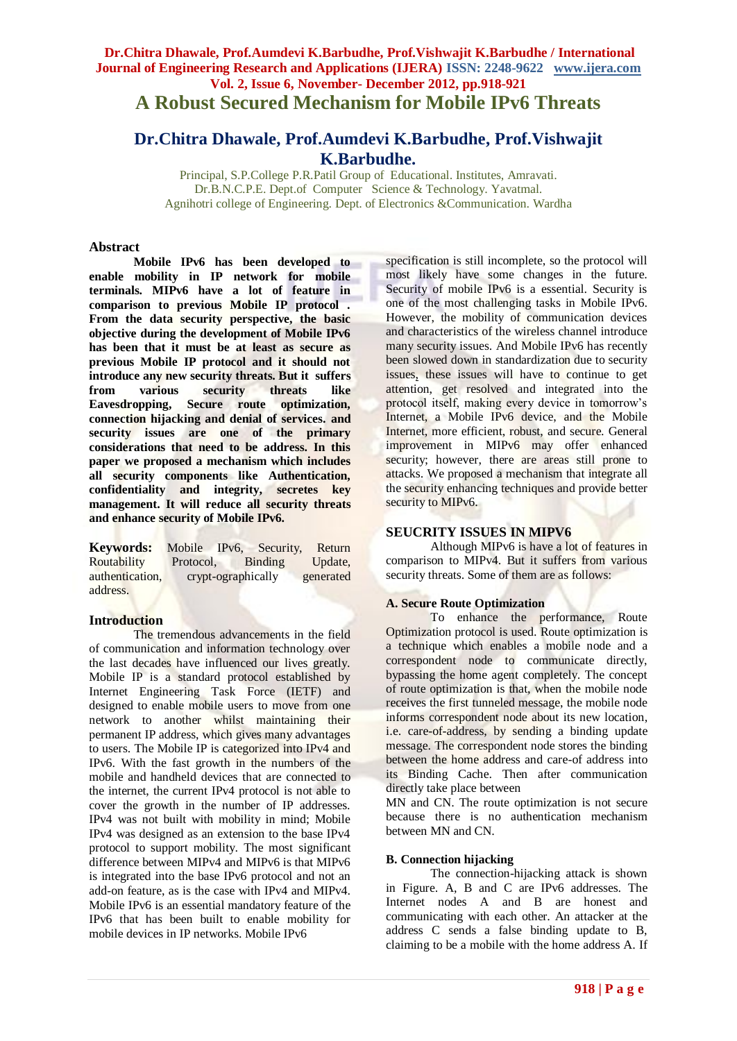# **Dr.Chitra Dhawale, Prof.Aumdevi K.Barbudhe, Prof.Vishwajit K.Barbudhe / International Journal of Engineering Research and Applications (IJERA) ISSN: 2248-9622 www.ijera.com Vol. 2, Issue 6, November- December 2012, pp.918-921 A Robust Secured Mechanism for Mobile IPv6 Threats**

# **Dr.Chitra Dhawale, Prof.Aumdevi K.Barbudhe, Prof.Vishwajit K.Barbudhe.**

Principal, S.P.College P.R.Patil Group of Educational. Institutes, Amravati. Dr.B.N.C.P.E. Dept.of Computer Science & Technology. Yavatmal. Agnihotri college of Engineering. Dept. of Electronics &Communication. Wardha

#### **Abstract**

**Mobile IPv6 has been developed to enable mobility in IP network for mobile terminals. MIPv6 have a lot of feature in comparison to previous Mobile IP protocol . From the data security perspective, the basic objective during the development of Mobile IPv6 has been that it must be at least as secure as previous Mobile IP protocol and it should not introduce any new security threats. But it suffers**<br>**from** various security threats like **from various security threats like Eavesdropping, Secure route optimization, connection hijacking and denial of services. and security issues are one of the primary considerations that need to be address. In this paper we proposed a mechanism which includes all security components like Authentication, confidentiality and integrity, secretes key management. It will reduce all security threats and enhance security of Mobile IPv6.**

**Keywords:** Mobile IPv6, Security, Return Routability Protocol, Binding Update, authentication, crypt-ographically generated address.

## **Introduction**

The tremendous advancements in the field of communication and information technology over the last decades have influenced our lives greatly. Mobile IP is a standard protocol established by Internet Engineering Task Force (IETF) and designed to enable mobile users to move from one network to another whilst maintaining their permanent IP address, which gives many advantages to users. The Mobile IP is categorized into IPv4 and IPv6. With the fast growth in the numbers of the mobile and handheld devices that are connected to the internet, the current IPv4 protocol is not able to cover the growth in the number of IP addresses. IPv4 was not built with mobility in mind; Mobile IPv4 was designed as an extension to the base IPv4 protocol to support mobility. The most significant difference between MIPv4 and MIPv6 is that MIPv6 is integrated into the base IPv6 protocol and not an add-on feature, as is the case with IPv4 and MIPv4. Mobile IPv6 is an essential mandatory feature of the IPv6 that has been built to enable mobility for mobile devices in IP networks. Mobile IPv6

specification is still incomplete, so the protocol will most likely have some changes in the future. Security of mobile IPv6 is a essential. Security is one of the most challenging tasks in Mobile IPv6. However, the mobility of communication devices and characteristics of the wireless channel introduce many security issues. And Mobile IPv6 has recently been slowed down in standardization due to security issues, these issues will have to continue to get attention, get resolved and integrated into the protocol itself, making every device in tomorrow's Internet, a Mobile IPv6 device, and the Mobile Internet, more efficient, robust, and secure. General improvement in MIPv6 may offer enhanced security; however, there are areas still prone to attacks. We proposed a mechanism that integrate all the security enhancing techniques and provide better security to MIP<sub>v6</sub>.

## **SEUCRITY ISSUES IN MIPV6**

Although MIPv6 is have a lot of features in comparison to MIPv4. But it suffers from various security threats. Some of them are as follows:

## **A. Secure Route Optimization**

To enhance the performance, Route Optimization protocol is used. Route optimization is a technique which enables a mobile node and a correspondent node to communicate directly, bypassing the home agent completely. The concept of route optimization is that, when the mobile node receives the first tunneled message, the mobile node informs correspondent node about its new location, i.e. care-of-address, by sending a binding update message. The correspondent node stores the binding between the home address and care-of address into its Binding Cache. Then after communication directly take place between

MN and CN. The route optimization is not secure because there is no authentication mechanism between MN and CN.

## **B. Connection hijacking**

The connection-hijacking attack is shown in Figure. A, B and C are IPv6 addresses. The Internet nodes A and B are honest and communicating with each other. An attacker at the address C sends a false binding update to B, claiming to be a mobile with the home address A. If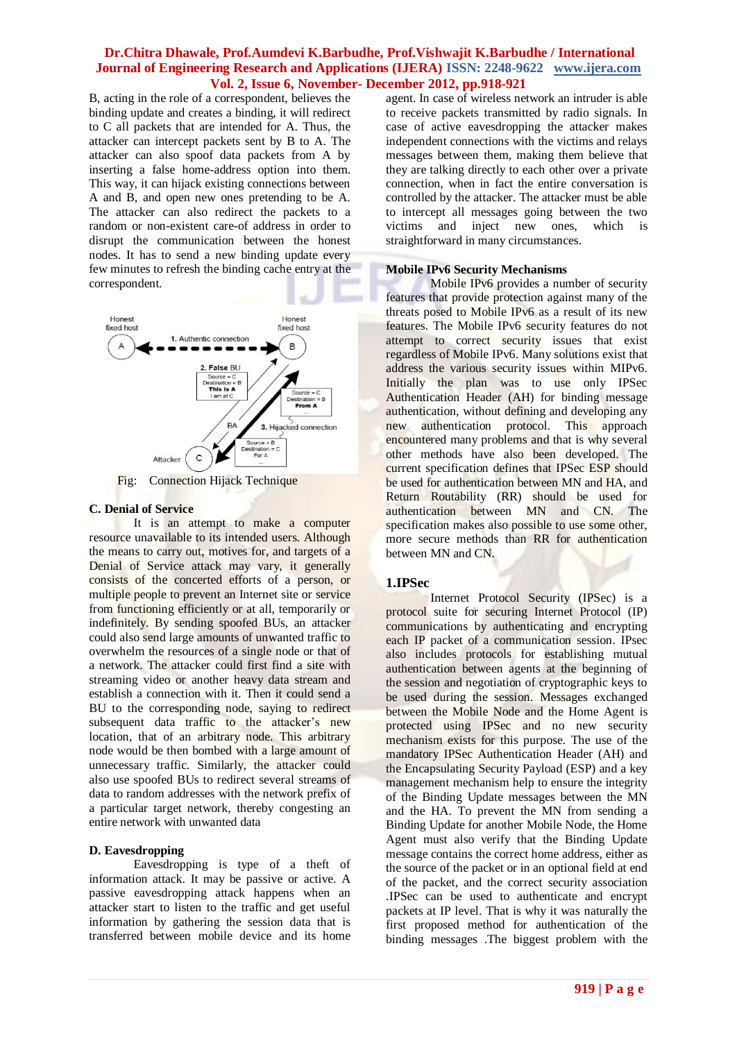## **Dr.Chitra Dhawale, Prof.Aumdevi K.Barbudhe, Prof.Vishwajit K.Barbudhe / International Journal of Engineering Research and Applications (IJERA) ISSN: 2248-9622 www.ijera.com Vol. 2, Issue 6, November- December 2012, pp.918-921**

B, acting in the role of a correspondent, believes the binding update and creates a binding, it will redirect to C all packets that are intended for A. Thus, the attacker can intercept packets sent by B to A. The attacker can also spoof data packets from A by inserting a false home-address option into them. This way, it can hijack existing connections between A and B, and open new ones pretending to be A. The attacker can also redirect the packets to a random or non-existent care-of address in order to disrupt the communication between the honest nodes. It has to send a new binding update every few minutes to refresh the binding cache entry at the correspondent.



Fig: Connection Hijack Technique

## **C. Denial of Service**

It is an attempt to make a computer resource unavailable to its intended users. Although the means to carry out, motives for, and targets of a Denial of Service attack may vary, it generally consists of the concerted efforts of a person, or multiple people to prevent an Internet site or service from functioning efficiently or at all, temporarily or indefinitely. By sending spoofed BUs, an attacker could also send large amounts of unwanted traffic to overwhelm the resources of a single node or that of a network. The attacker could first find a site with streaming video or another heavy data stream and establish a connection with it. Then it could send a BU to the corresponding node, saying to redirect subsequent data traffic to the attacker's new location, that of an arbitrary node. This arbitrary node would be then bombed with a large amount of unnecessary traffic. Similarly, the attacker could also use spoofed BUs to redirect several streams of data to random addresses with the network prefix of a particular target network, thereby congesting an entire network with unwanted data

# **D. Eavesdropping**

Eavesdropping is type of a theft of information attack. It may be passive or active. A passive eavesdropping attack happens when an attacker start to listen to the traffic and get useful information by gathering the session data that is transferred between mobile device and its home

agent. In case of wireless network an intruder is able to receive packets transmitted by radio signals. In case of active eavesdropping the attacker makes independent connections with the victims and relays messages between them, making them believe that they are talking directly to each other over a private connection, when in fact the entire conversation is controlled by the attacker. The attacker must be able to intercept all messages going between the two victims and inject new ones, which is straightforward in many circumstances.

## **Mobile IPv6 Security Mechanisms**

Mobile IPv6 provides a number of security features that provide protection against many of the threats posed to Mobile IPv6 as a result of its new features. The Mobile IPv6 security features do not attempt to correct security issues that exist regardless of Mobile IPv6. Many solutions exist that address the various security issues within MIPv6. Initially the plan was to use only IPSec Authentication Header (AH) for binding message authentication, without defining and developing any new authentication protocol. This approach encountered many problems and that is why several other methods have also been developed. The current specification defines that IPSec ESP should be used for authentication between MN and HA, and Return Routability (RR) should be used for authentication between MN and CN. The specification makes also possible to use some other, more secure methods than RR for authentication between MN and CN.

# **1.IPSec**

Internet Protocol Security (IPSec) is a protocol suite for securing Internet Protocol (IP) communications by authenticating and encrypting each IP packet of a communication session. IPsec also includes protocols for establishing mutual authentication between agents at the beginning of the session and negotiation of cryptographic keys to be used during the session. Messages exchanged between the Mobile Node and the Home Agent is protected using IPSec and no new security mechanism exists for this purpose. The use of the mandatory IPSec Authentication Header (AH) and the Encapsulating Security Payload (ESP) and a key management mechanism help to ensure the integrity of the Binding Update messages between the MN and the HA. To prevent the MN from sending a Binding Update for another Mobile Node, the Home Agent must also verify that the Binding Update message contains the correct home address, either as the source of the packet or in an optional field at end of the packet, and the correct security association .IPSec can be used to authenticate and encrypt packets at IP level. That is why it was naturally the first proposed method for authentication of the binding messages .The biggest problem with the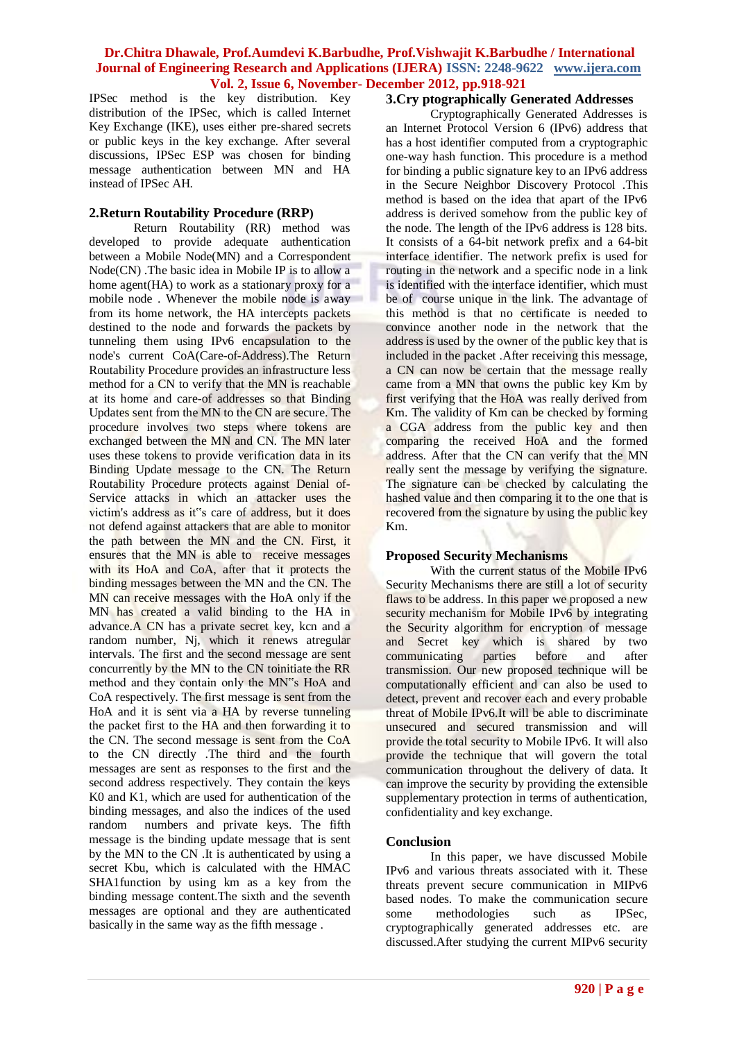## **Dr.Chitra Dhawale, Prof.Aumdevi K.Barbudhe, Prof.Vishwajit K.Barbudhe / International Journal of Engineering Research and Applications (IJERA) ISSN: 2248-9622 www.ijera.com Vol. 2, Issue 6, November- December 2012, pp.918-921**

IPSec method is the key distribution. Key distribution of the IPSec, which is called Internet Key Exchange (IKE), uses either pre-shared secrets or public keys in the key exchange. After several discussions, IPSec ESP was chosen for binding message authentication between MN and HA instead of IPSec AH.

## **2.Return Routability Procedure (RRP)**

Return Routability (RR) method was developed to provide adequate authentication between a Mobile Node(MN) and a Correspondent Node(CN) .The basic idea in Mobile IP is to allow a home agent(HA) to work as a stationary proxy for a mobile node . Whenever the mobile node is away from its home network, the HA intercepts packets destined to the node and forwards the packets by tunneling them using IPv6 encapsulation to the node's current CoA(Care-of-Address).The Return Routability Procedure provides an infrastructure less method for a CN to verify that the MN is reachable at its home and care-of addresses so that Binding Updates sent from the MN to the CN are secure. The procedure involves two steps where tokens are exchanged between the MN and CN. The MN later uses these tokens to provide verification data in its Binding Update message to the CN. The Return Routability Procedure protects against Denial of-Service attacks in which an attacker uses the victim's address as it"s care of address, but it does not defend against attackers that are able to monitor the path between the MN and the CN. First, it ensures that the MN is able to receive messages with its HoA and CoA, after that it protects the binding messages between the MN and the CN. The MN can receive messages with the HoA only if the MN has created a valid binding to the HA in advance.A CN has a private secret key, kcn and a random number, Nj, which it renews atregular intervals. The first and the second message are sent concurrently by the MN to the CN toinitiate the RR method and they contain only the MN"s HoA and CoA respectively. The first message is sent from the HoA and it is sent via a HA by reverse tunneling the packet first to the HA and then forwarding it to the CN. The second message is sent from the CoA to the CN directly .The third and the fourth messages are sent as responses to the first and the second address respectively. They contain the keys K0 and K1, which are used for authentication of the binding messages, and also the indices of the used random numbers and private keys. The fifth message is the binding update message that is sent by the MN to the CN .It is authenticated by using a secret Kbu, which is calculated with the HMAC SHA1function by using km as a key from the binding message content.The sixth and the seventh messages are optional and they are authenticated basically in the same way as the fifth message .

# **3.Cry ptographically Generated Addresses**

Cryptographically Generated Addresses is an Internet Protocol Version 6 (IPv6) address that has a host identifier computed from a cryptographic one-way hash function. This procedure is a method for binding a public signature key to an IPv6 address in the Secure Neighbor Discovery Protocol .This method is based on the idea that apart of the IPv6 address is derived somehow from the public key of the node. The length of the IPv6 address is 128 bits. It consists of a 64-bit network prefix and a 64-bit interface identifier. The network prefix is used for routing in the network and a specific node in a link is identified with the interface identifier, which must be of course unique in the link. The advantage of this method is that no certificate is needed to convince another node in the network that the address is used by the owner of the public key that is included in the packet .After receiving this message, a CN can now be certain that the message really came from a MN that owns the public key Km by first verifying that the HoA was really derived from Km. The validity of Km can be checked by forming a CGA address from the public key and then comparing the received HoA and the formed address. After that the CN can verify that the MN really sent the message by verifying the signature. The signature can be checked by calculating the hashed value and then comparing it to the one that is recovered from the signature by using the public key Km.

## **Proposed Security Mechanisms**

With the current status of the Mobile IPv6 Security Mechanisms there are still a lot of security flaws to be address. In this paper we proposed a new security mechanism for Mobile IPv6 by integrating the Security algorithm for encryption of message and Secret key which is shared by two communicating parties before and after transmission. Our new proposed technique will be computationally efficient and can also be used to detect, prevent and recover each and every probable threat of Mobile IPv6.It will be able to discriminate unsecured and secured transmission and will provide the total security to Mobile IPv6. It will also provide the technique that will govern the total communication throughout the delivery of data. It can improve the security by providing the extensible supplementary protection in terms of authentication, confidentiality and key exchange.

## **Conclusion**

In this paper, we have discussed Mobile IPv6 and various threats associated with it. These threats prevent secure communication in MIPv6 based nodes. To make the communication secure some methodologies such as IPSec, cryptographically generated addresses etc. are discussed.After studying the current MIPv6 security